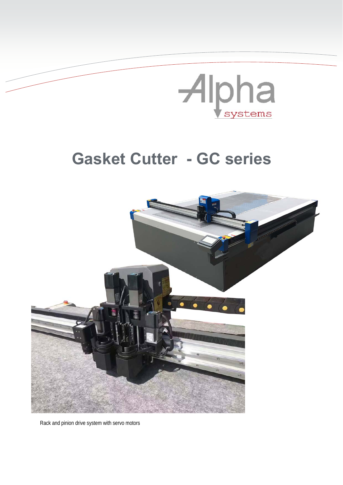

## **Gasket Cutter - GC series**



Rack and pinion drive system with servo motors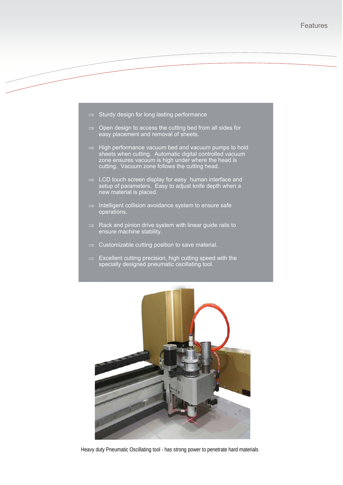

- $\Rightarrow$  Open design to access the cutting bed from all sides for easy placement and removal of sheets.
- $\Rightarrow$  High performance vacuum bed and vacuum pumps to hold sheets when cutting. Automatic digital controlled vacuum zone ensures vacuum is high under where the head is cutting. Vacuum zone follows the cutting head.
- $\Rightarrow$  LCD touch screen display for easy human interface and setup of parameters. Easy to adjust knife depth when a new material is placed.
- $\Rightarrow$  Intelligent collision avoidance system to ensure safe operations.
- $\Rightarrow$  Rack and pinion drive system with linear guide rails to ensure machine stability.
- $\Rightarrow$  Customizable cutting position to save material.
- $\Rightarrow$  Excellent cutting precision, high cutting speed with the specially designed pneumatic oscillating tool.



Heavy duty Pneumatic Oscillating tool - has strong power to penetrate hard materials